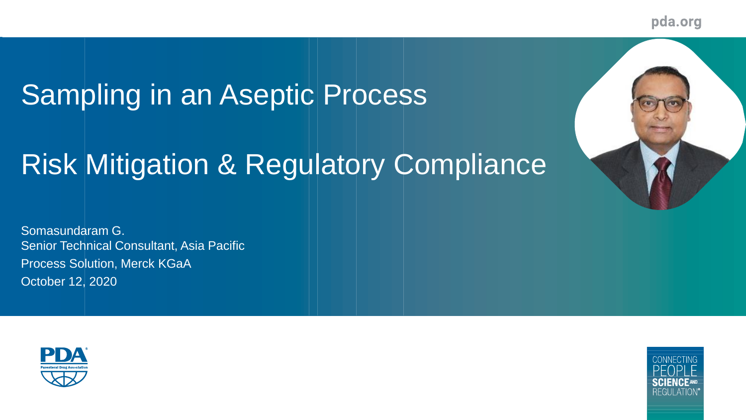pda.org

# Sampling in an Aseptic Process

# Risk Mitigation & Regulatory Compliance

Somasundaram G. Senior Technical Consultant, Asia Pacific Process Solution, Merck KGaA October 12, 2020



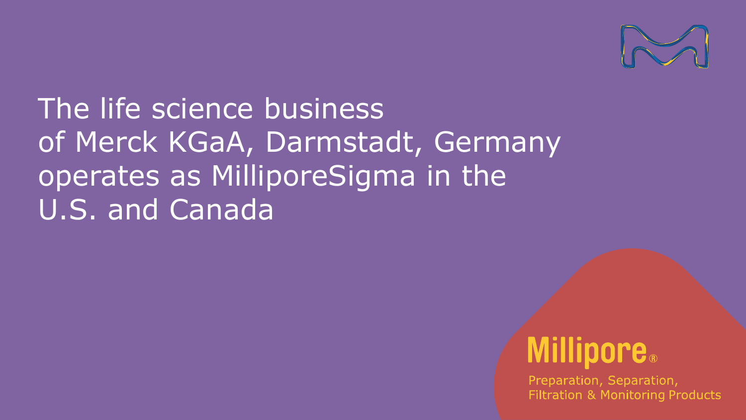

The life science business of Merck KGaA, Darmstadt, Germany operates as MilliporeSigma in the U.S. and Canada

# **Millipore**.

Preparation, Separation, **Filtration & Monitoring Products**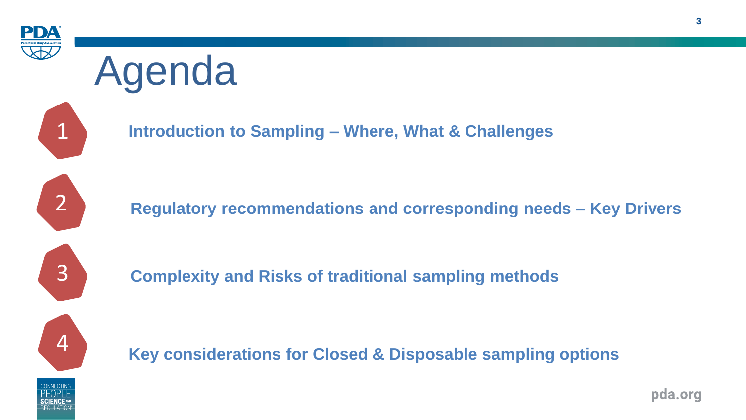

# Agenda



**Introduction to Sampling – Where, What & Challenges**



2 **Regulatory recommendations and corresponding needs – Key Drivers**



**Complexity and Risks of traditional sampling methods**



**Key considerations for Closed & Disposable sampling options**

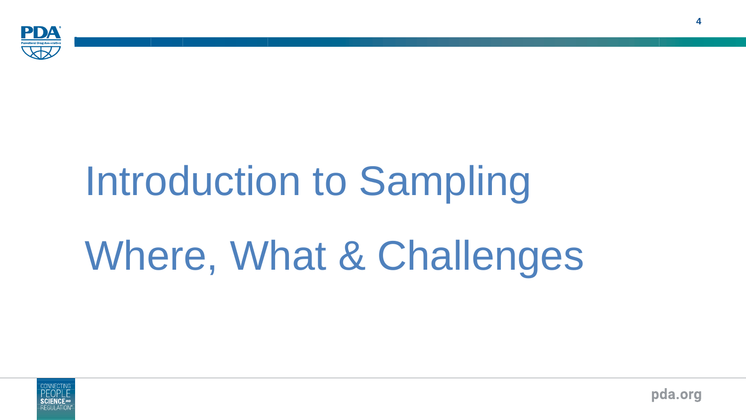

# Introduction to Sampling Where, What & Challenges



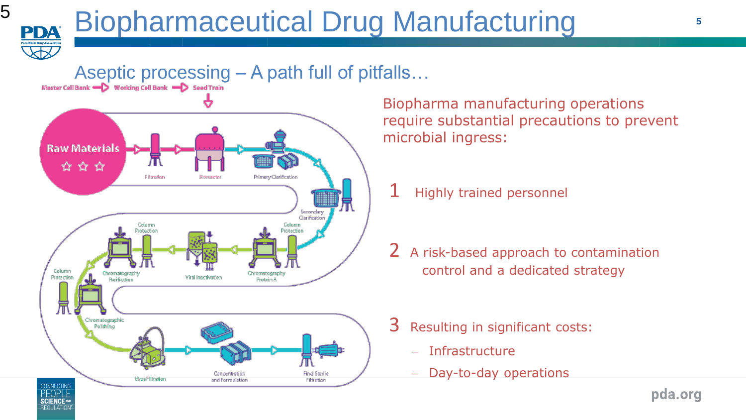### Aseptic processing  $-A$  path full of pitfalls...<br>Master Cell Bank  $-D$  Working Cell Bank  $-D$  seed Train



Biopharma manufacturing operations require substantial precautions to prevent microbial ingress:

- Highly trained personnel
- 2 A risk-based approach to contamination control and a dedicated strategy
- 3 Resulting in significant costs:
	- − Infrastructure
	- − Day-to-day operations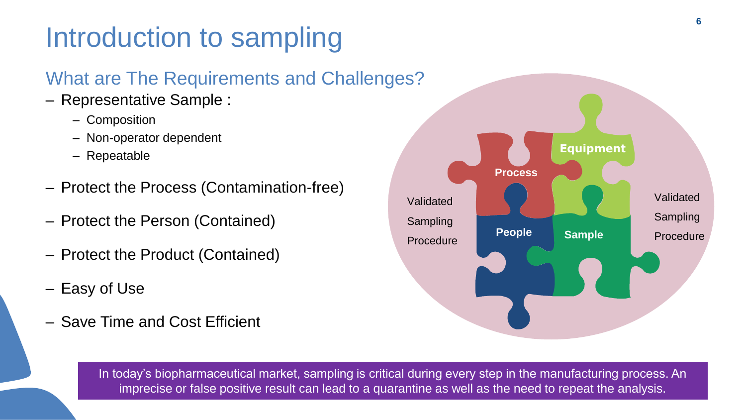## Introduction to sampling

#### What are The Requirements and Challenges?

- Representative Sample :
	- Composition
	- Non-operator dependent
	- Repeatable
- Protect the Process (Contamination-free)
- Protect the Person (Contained)
- Protect the Product (Contained)
- Easy of Use

6

– Save Time and Cost Efficient



In today's biopharmaceutical market, sampling is critical during every step in the manufacturing process. An imprecise or false positive result can lead to a quarantine as well as the need to repeat the analysis.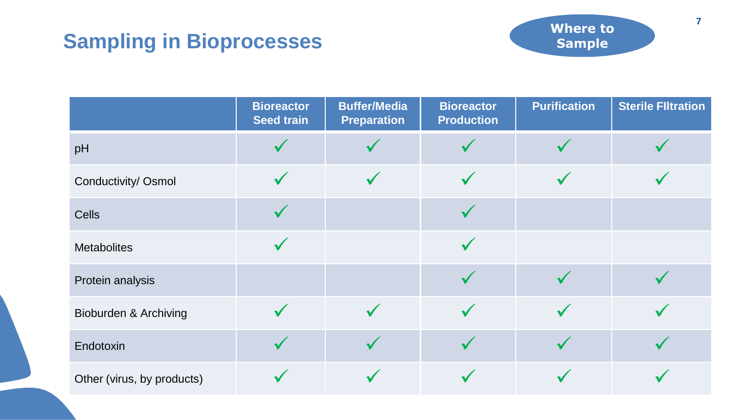### **Sampling in Bioprocesses**



|                            | <b>Bioreactor</b><br><b>Seed train</b> | <b>Buffer/Media</b><br><b>Preparation</b> | <b>Bioreactor</b><br><b>Production</b> | <b>Purification</b> | <b>Sterile Filtration</b> |
|----------------------------|----------------------------------------|-------------------------------------------|----------------------------------------|---------------------|---------------------------|
| pH                         |                                        |                                           |                                        |                     |                           |
| Conductivity/ Osmol        |                                        |                                           |                                        |                     |                           |
| <b>Cells</b>               |                                        |                                           |                                        |                     |                           |
| <b>Metabolites</b>         |                                        |                                           |                                        |                     |                           |
| Protein analysis           |                                        |                                           |                                        |                     |                           |
| Bioburden & Archiving      |                                        |                                           |                                        |                     |                           |
| Endotoxin                  |                                        |                                           |                                        |                     |                           |
| Other (virus, by products) |                                        |                                           |                                        |                     |                           |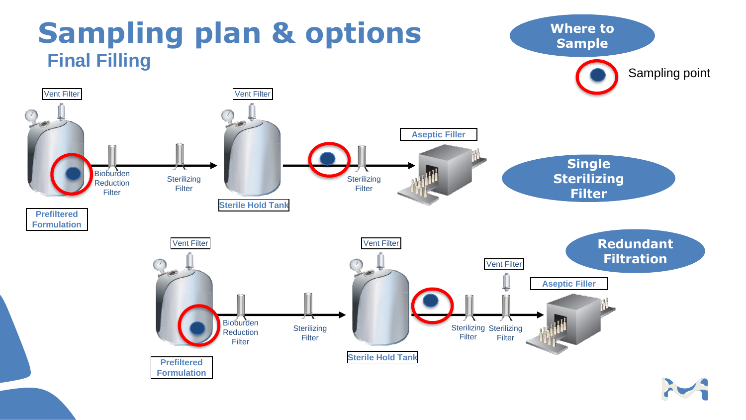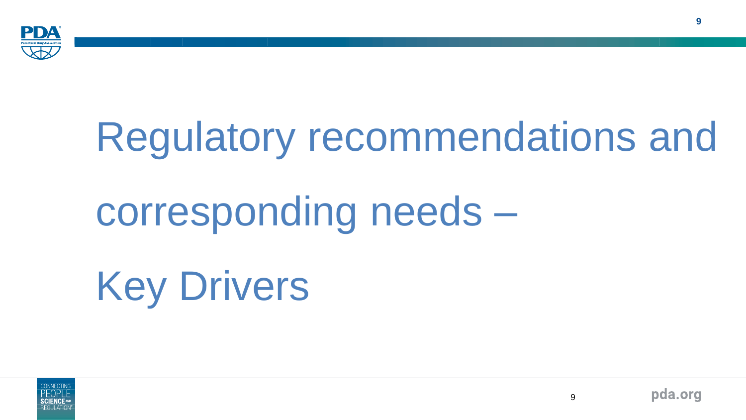

# Regulatory recommendations and

# corresponding needs –

Key Drivers



9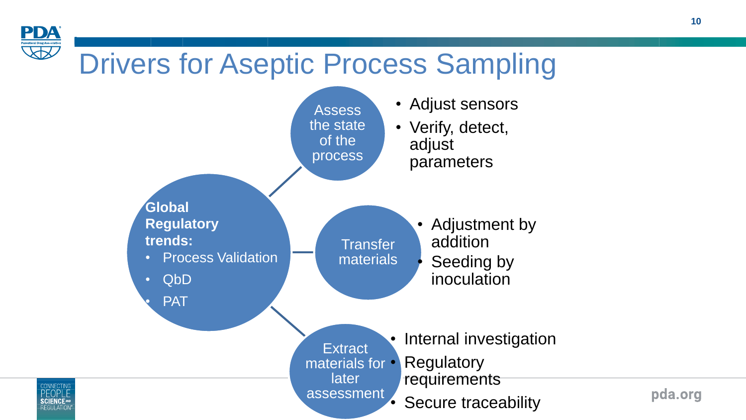# Drivers for Aseptic Process Sampling

**PDA** 



pda.org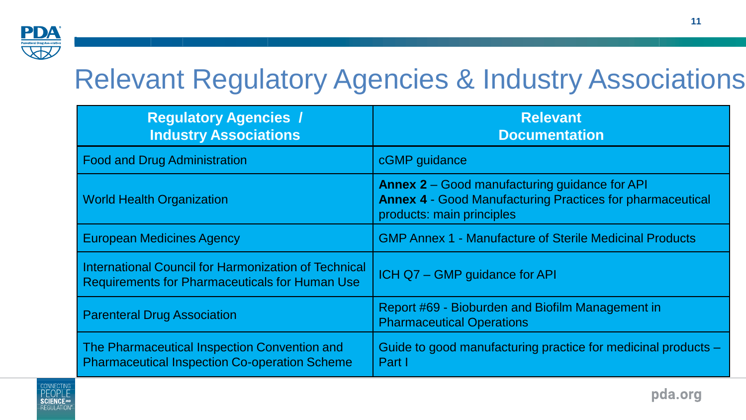

## Relevant Regulatory Agencies & Industry Associations

| <b>Regulatory Agencies /</b><br><b>Industry Associations</b>                                                  | <b>Relevant</b><br><b>Documentation</b>                                                                                                               |
|---------------------------------------------------------------------------------------------------------------|-------------------------------------------------------------------------------------------------------------------------------------------------------|
| <b>Food and Drug Administration</b>                                                                           | cGMP guidance                                                                                                                                         |
| <b>World Health Organization</b>                                                                              | <b>Annex 2</b> – Good manufacturing guidance for API<br><b>Annex 4 - Good Manufacturing Practices for pharmaceutical</b><br>products: main principles |
| <b>European Medicines Agency</b>                                                                              | <b>GMP Annex 1 - Manufacture of Sterile Medicinal Products</b>                                                                                        |
| International Council for Harmonization of Technical<br><b>Requirements for Pharmaceuticals for Human Use</b> | ICH Q7 - GMP guidance for API                                                                                                                         |
| <b>Parenteral Drug Association</b>                                                                            | Report #69 - Bioburden and Biofilm Management in<br><b>Pharmaceutical Operations</b>                                                                  |
| The Pharmaceutical Inspection Convention and<br><b>Pharmaceutical Inspection Co-operation Scheme</b>          | Guide to good manufacturing practice for medicinal products -<br>Part I                                                                               |



**11**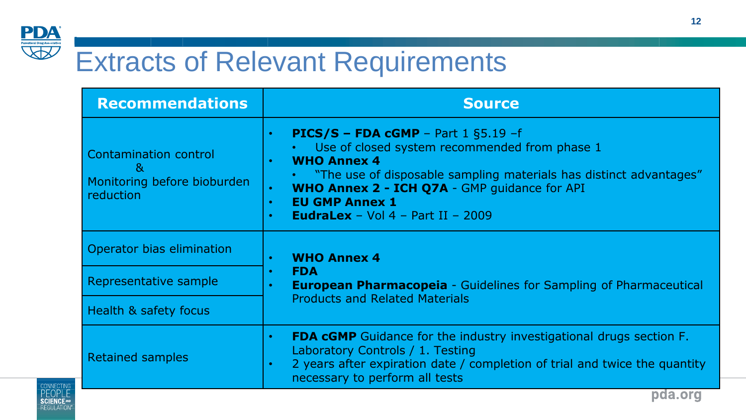

## Extracts of Relevant Requirements

| <b>Recommendations</b>                                                        | <b>Source</b>                                                                                                                                                                                                                                                                                                                                                                       |  |  |
|-------------------------------------------------------------------------------|-------------------------------------------------------------------------------------------------------------------------------------------------------------------------------------------------------------------------------------------------------------------------------------------------------------------------------------------------------------------------------------|--|--|
| <b>Contamination control</b><br>&<br>Monitoring before bioburden<br>reduction | <b>PICS/S - FDA cGMP</b> - Part $1$ §5.19 -f<br>$\bullet$<br>Use of closed system recommended from phase 1<br><b>WHO Annex 4</b><br>$\bullet$<br>• "The use of disposable sampling materials has distinct advantages"<br>WHO Annex 2 - ICH Q7A - GMP guidance for API<br>$\bullet$<br><b>EU GMP Annex 1</b><br>$\bullet$<br><b>EudraLex</b> - Vol $4$ - Part II - 2009<br>$\bullet$ |  |  |
| Operator bias elimination                                                     | <b>WHO Annex 4</b><br>$\bullet$                                                                                                                                                                                                                                                                                                                                                     |  |  |
| Representative sample                                                         | <b>FDA</b><br>$\bullet$<br><b>European Pharmacopeia - Guidelines for Sampling of Pharmaceutical</b>                                                                                                                                                                                                                                                                                 |  |  |
| Health & safety focus                                                         | <b>Products and Related Materials</b>                                                                                                                                                                                                                                                                                                                                               |  |  |
| Retained samples                                                              | <b>FDA cGMP</b> Guidance for the industry investigational drugs section F.<br>$\bullet$<br>Laboratory Controls / 1. Testing<br>2 years after expiration date / completion of trial and twice the quantity<br>$\bullet$<br>necessary to perform all tests                                                                                                                            |  |  |



**12**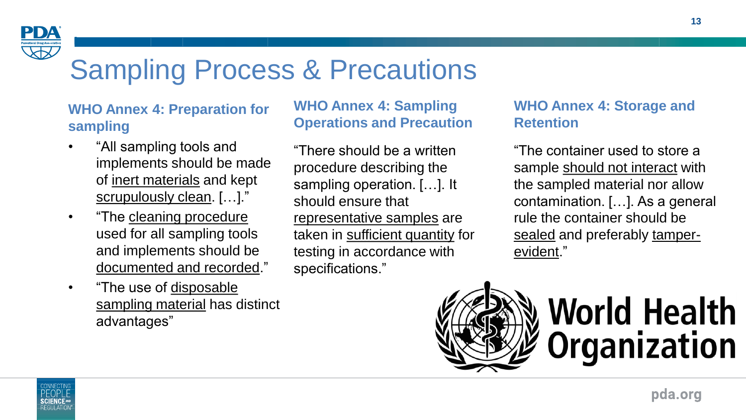

## Sampling Process & Precautions

#### **WHO Annex 4: Preparation for sampling**

- "All sampling tools and implements should be made of inert materials and kept scrupulously clean. […]."
- "The cleaning procedure used for all sampling tools and implements should be documented and recorded."
- "The use of disposable sampling material has distinct advantages"

#### **WHO Annex 4: Sampling Operations and Precaution**

"There should be a written procedure describing the sampling operation. […]. It should ensure that representative samples are taken in sufficient quantity for testing in accordance with specifications."

#### **WHO Annex 4: Storage and Retention**

"The container used to store a sample should not interact with the sampled material nor allow contamination. […]. As a general rule the container should be sealed and preferably tamperevident."



# **World Health Organization**

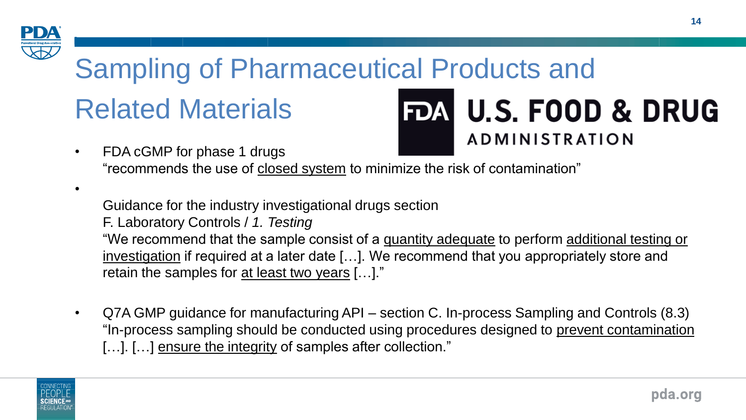

### Sampling of Pharmaceutical Products and Related Materials **FDA U.S. FOOD & DRUG**

**ADMINISTRATION** • FDA cGMP for phase 1 drugs "recommends the use of closed system to minimize the risk of contamination"

•

Guidance for the industry investigational drugs section

F. Laboratory Controls / *1. Testing*

"We recommend that the sample consist of a quantity adequate to perform additional testing or investigation if required at a later date […]. We recommend that you appropriately store and retain the samples for at least two years [...]."

• Q7A GMP guidance for manufacturing API – section C. In-process Sampling and Controls (8.3) "In-process sampling should be conducted using procedures designed to prevent contamination [...]. [...] ensure the integrity of samples after collection."

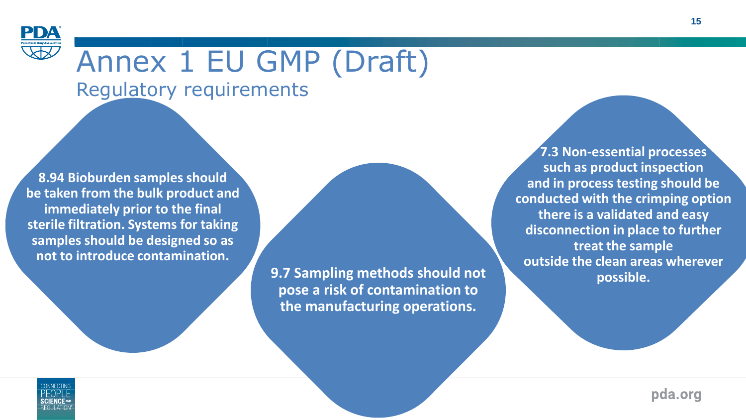

# Annex 1 EU GMP (Draft)

Regulatory requirements

**8.94 Bioburden samples should be taken from the bulk product and immediately prior to the final sterile filtration. Systems for taking samples should be designed so as not to introduce contamination.**

> **9.7 Sampling methods should not pose a risk of contamination to the manufacturing operations.**

**7.3 Non-essential processes such as product inspection and in process testing should be conducted with the crimping option there is a validated and easy disconnection in place to further treat the sample outside the clean areas wherever possible.**



pda.org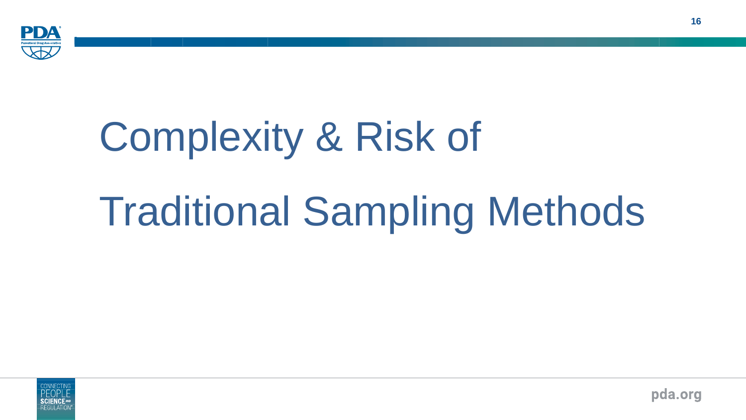

# Complexity & Risk of

# Traditional Sampling Methods



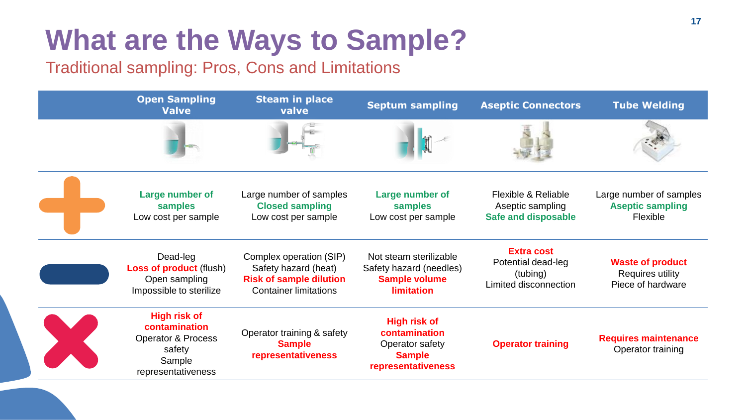### **<sup>17</sup>** 17 **What are the Ways to Sample?**

Traditional sampling: Pros, Cons and Limitations

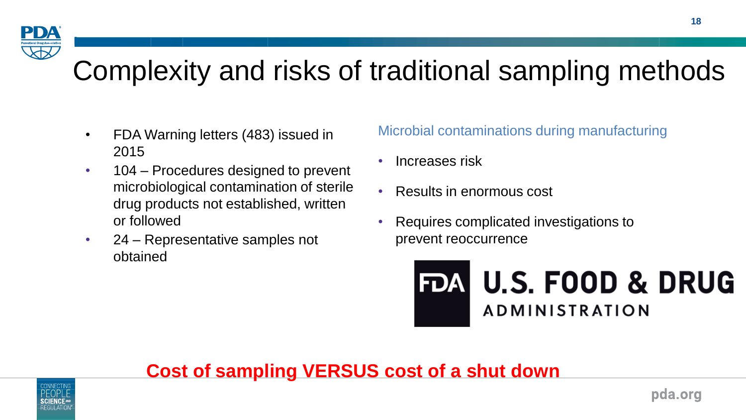

- FDA Warning letters (483) issued in 2015
- 104 Procedures designed to prevent microbiological contamination of sterile drug products not established, written or followed
- 24 Representative samples not obtained

Microbial contaminations during manufacturing

- Increases risk
- Results in enormous cost
- Requires complicated investigations to prevent reoccurrence



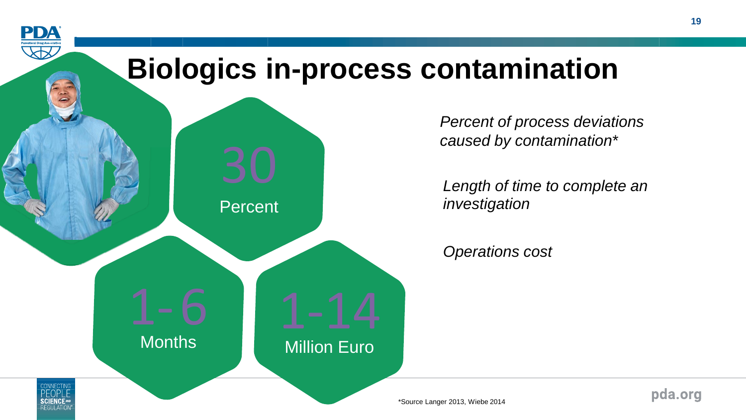

*Percent of process deviations caused by contamination*\*

*Length of time to complete an investigation*

*Operations cost*

pda.org

\*Source Langer 2013, Wiebe 2014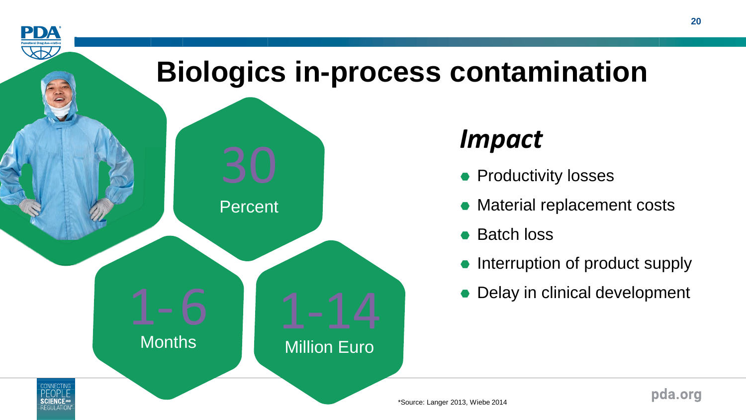

\*Source: Langer 2013, Wiebe 2014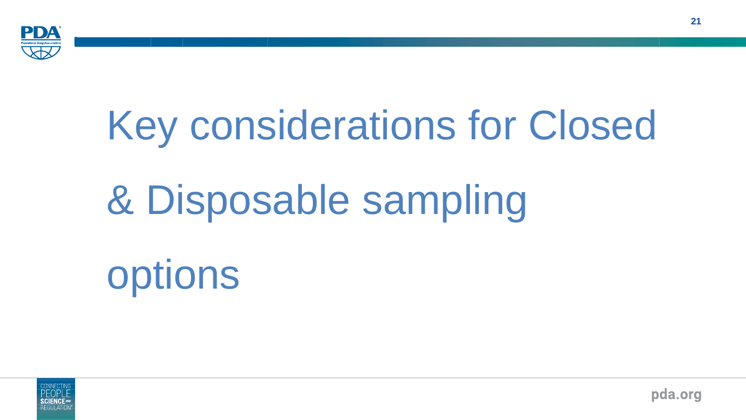

# Key considerations for Closed & Disposable sampling options



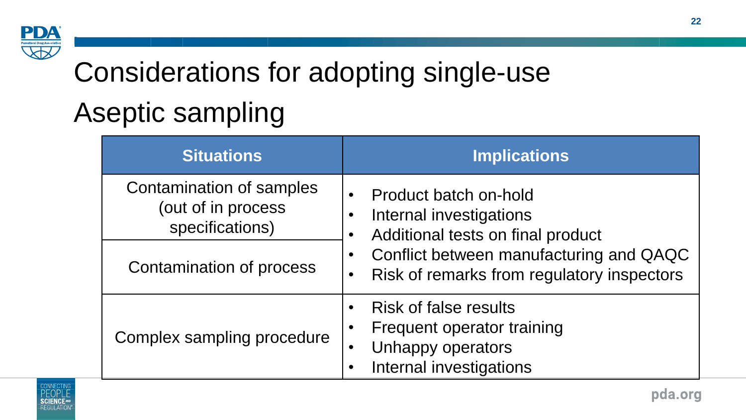

# Considerations for adopting single-use Aseptic sampling

| <b>Situations</b>                                                 | <b>Implications</b>                                                                                                     |  |  |  |
|-------------------------------------------------------------------|-------------------------------------------------------------------------------------------------------------------------|--|--|--|
| Contamination of samples<br>(out of in process<br>specifications) | Product batch on-hold<br>Internal investigations<br>Additional tests on final product                                   |  |  |  |
| Contamination of process                                          | Conflict between manufacturing and QAQC<br>Risk of remarks from regulatory inspectors                                   |  |  |  |
| Complex sampling procedure                                        | <b>Risk of false results</b><br>Frequent operator training<br>Unhappy operators<br>$\bullet$<br>Internal investigations |  |  |  |

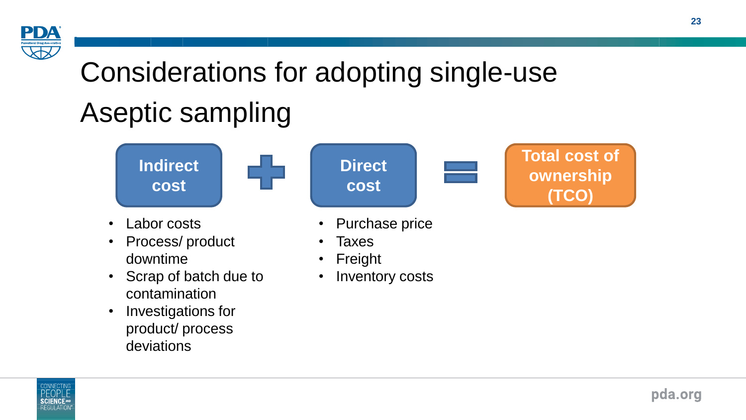

# Considerations for adopting single-use Aseptic sampling



• Inventory costs

- Scrap of batch due to contamination
- Investigations for product/ process deviations
- -

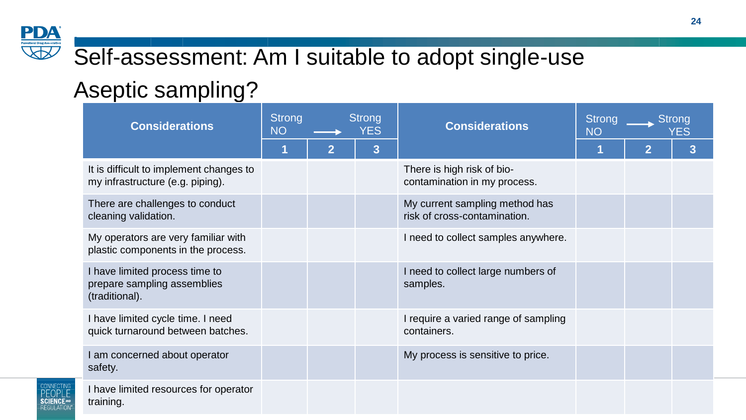### Self-assessment: Am I suitable to adopt single-use

### Aseptic sampling?

| <b>Considerations</b>                                                           | <b>Strong</b><br><b>NO</b> |                | <b>Strong</b><br><b>YES</b> | <b>Considerations</b>                                          | <b>Strong</b><br><b>NO</b> | Strong<br>YES  |   |
|---------------------------------------------------------------------------------|----------------------------|----------------|-----------------------------|----------------------------------------------------------------|----------------------------|----------------|---|
|                                                                                 |                            | $\overline{2}$ | 3                           |                                                                |                            | $\overline{2}$ | 3 |
| It is difficult to implement changes to<br>my infrastructure (e.g. piping).     |                            |                |                             | There is high risk of bio-<br>contamination in my process.     |                            |                |   |
| There are challenges to conduct<br>cleaning validation.                         |                            |                |                             | My current sampling method has<br>risk of cross-contamination. |                            |                |   |
| My operators are very familiar with<br>plastic components in the process.       |                            |                |                             | I need to collect samples anywhere.                            |                            |                |   |
| I have limited process time to<br>prepare sampling assemblies<br>(traditional). |                            |                |                             | I need to collect large numbers of<br>samples.                 |                            |                |   |
| I have limited cycle time. I need<br>quick turnaround between batches.          |                            |                |                             | I require a varied range of sampling<br>containers.            |                            |                |   |
| I am concerned about operator<br>safety.                                        |                            |                |                             | My process is sensitive to price.                              |                            |                |   |
| I have limited resources for operator<br>training.                              |                            |                |                             |                                                                |                            |                |   |



**PDA**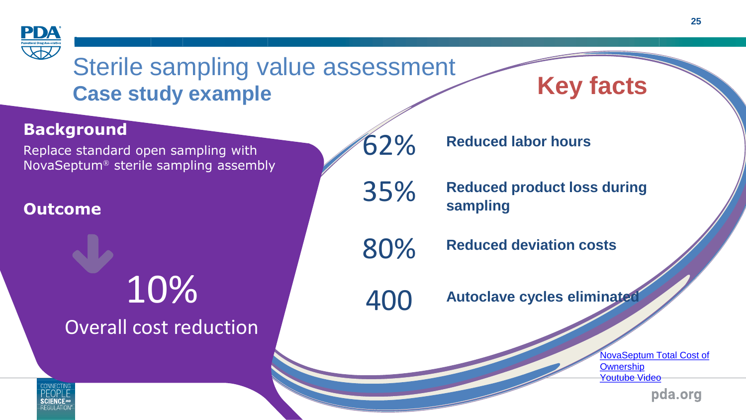

Sterile sampling value assessment **Case study example**

# **Key facts**

#### **Background**

Replace standard open sampling with NovaSeptum® sterile sampling assembly

#### **Outcome**

# <sup>400</sup> 10% **Autoclave cycles eliminated** Overall cost reduction

62% **Reduced labor hours**

35% **Reduced product loss during sampling**

80% **Reduced deviation costs**

[NovaSeptum](https://www.youtube.com/watch?v=lo7Q6qi0XL4) Total Cost of **Ownership** [Youtube](https://www.youtube.com/watch?v=lo7Q6qi0XL4) Video

pda.org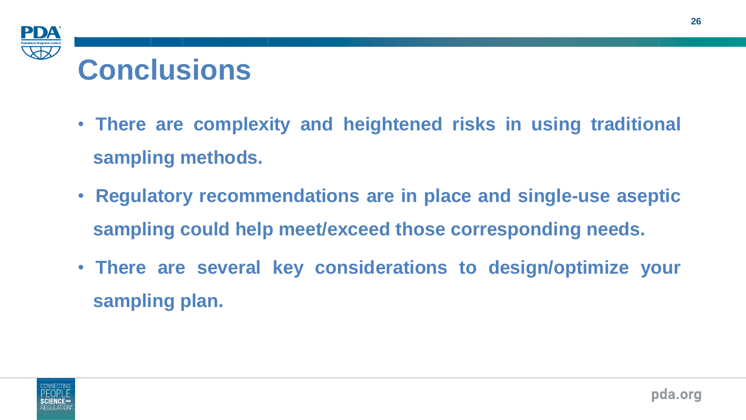

- **There are complexity and heightened risks in using traditional sampling methods.**
- **Regulatory recommendations are in place and single-use aseptic sampling could help meet/exceed those corresponding needs.**
- **There are several key considerations to design/optimize your sampling plan.**